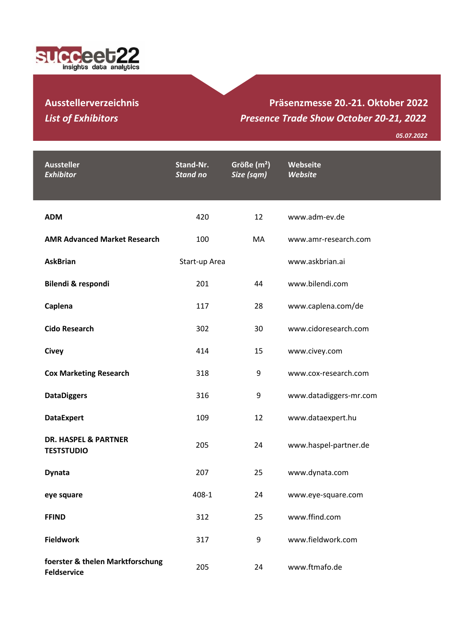

## **Ausstellerverzeichnis** *List of Exhibitors*

## **Präsenzmesse 20.-21. Oktober 2022** *Presence Trade Show October 20-21, 2022*

*05.07.2022*

| <b>Aussteller</b><br><b>Exhibitor</b>                  | Stand-Nr.<br><b>Stand no</b> | Größe $(m2)$<br>Size (sqm) | Webseite<br>Website    |
|--------------------------------------------------------|------------------------------|----------------------------|------------------------|
| <b>ADM</b>                                             | 420                          | 12                         | www.adm-ev.de          |
| <b>AMR Advanced Market Research</b>                    | 100                          | MA                         | www.amr-research.com   |
| <b>AskBrian</b>                                        | Start-up Area                |                            | www.askbrian.ai        |
| Bilendi & respondi                                     | 201                          | 44                         | www.bilendi.com        |
| Caplena                                                | 117                          | 28                         | www.caplena.com/de     |
| <b>Cido Research</b>                                   | 302                          | 30                         | www.cidoresearch.com   |
| <b>Civey</b>                                           | 414                          | 15                         | www.civey.com          |
| <b>Cox Marketing Research</b>                          | 318                          | 9                          | www.cox-research.com   |
| <b>DataDiggers</b>                                     | 316                          | 9                          | www.datadiggers-mr.com |
| <b>DataExpert</b>                                      | 109                          | 12                         | www.dataexpert.hu      |
| <b>DR. HASPEL &amp; PARTNER</b><br><b>TESTSTUDIO</b>   | 205                          | 24                         | www.haspel-partner.de  |
| <b>Dynata</b>                                          | 207                          | 25                         | www.dynata.com         |
| eye square                                             | 408-1                        | 24                         | www.eye-square.com     |
| <b>FFIND</b>                                           | 312                          | 25                         | www.ffind.com          |
| <b>Fieldwork</b>                                       | 317                          | 9                          | www.fieldwork.com      |
| foerster & thelen Marktforschung<br><b>Feldservice</b> | 205                          | 24                         | www.ftmafo.de          |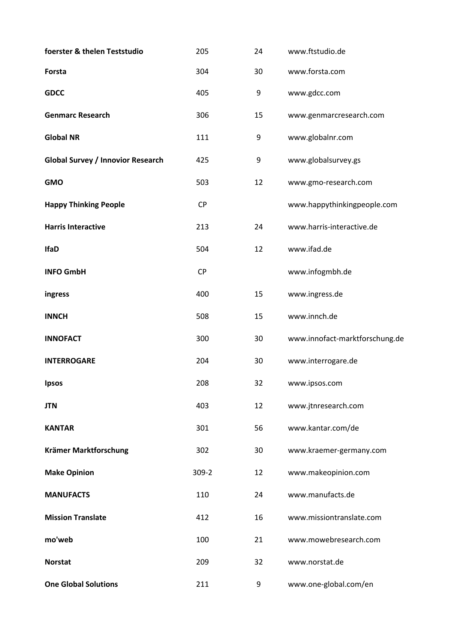| foerster & thelen Teststudio             | 205       | 24 | www.ftstudio.de                |
|------------------------------------------|-----------|----|--------------------------------|
| Forsta                                   | 304       | 30 | www.forsta.com                 |
| <b>GDCC</b>                              | 405       | 9  | www.gdcc.com                   |
| <b>Genmarc Research</b>                  | 306       | 15 | www.genmarcresearch.com        |
| <b>Global NR</b>                         | 111       | 9  | www.globalnr.com               |
| <b>Global Survey / Innovior Research</b> | 425       | 9  | www.globalsurvey.gs            |
| <b>GMO</b>                               | 503       | 12 | www.gmo-research.com           |
| <b>Happy Thinking People</b>             | <b>CP</b> |    | www.happythinkingpeople.com    |
| <b>Harris Interactive</b>                | 213       | 24 | www.harris-interactive.de      |
| <b>IfaD</b>                              | 504       | 12 | www.ifad.de                    |
| <b>INFO GmbH</b>                         | <b>CP</b> |    | www.infogmbh.de                |
| ingress                                  | 400       | 15 | www.ingress.de                 |
| <b>INNCH</b>                             | 508       | 15 | www.innch.de                   |
| <b>INNOFACT</b>                          | 300       | 30 | www.innofact-marktforschung.de |
| <b>INTERROGARE</b>                       | 204       | 30 | www.interrogare.de             |
| <b>Ipsos</b>                             | 208       | 32 | www.ipsos.com                  |
| <b>JTN</b>                               | 403       | 12 | www.jtnresearch.com            |
| <b>KANTAR</b>                            | 301       | 56 | www.kantar.com/de              |
| Krämer Marktforschung                    | 302       | 30 | www.kraemer-germany.com        |
| <b>Make Opinion</b>                      | $309 - 2$ | 12 | www.makeopinion.com            |
| <b>MANUFACTS</b>                         | 110       | 24 | www.manufacts.de               |
| <b>Mission Translate</b>                 | 412       | 16 | www.missiontranslate.com       |
| mo'web                                   | 100       | 21 | www.mowebresearch.com          |
| <b>Norstat</b>                           | 209       | 32 | www.norstat.de                 |
| <b>One Global Solutions</b>              | 211       | 9  | www.one-global.com/en          |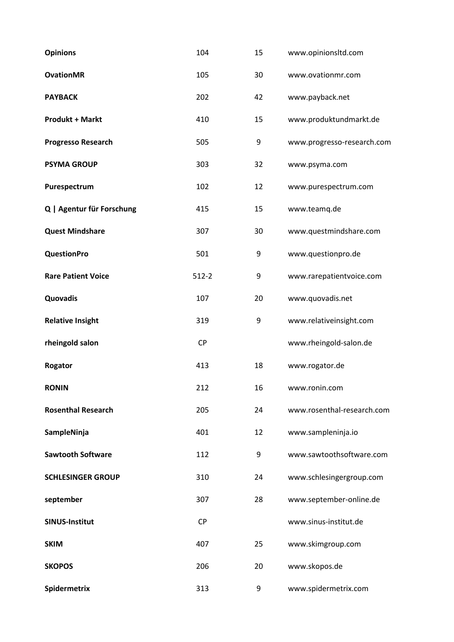| <b>Opinions</b>           | 104       | 15 | www.opinionsltd.com        |
|---------------------------|-----------|----|----------------------------|
| <b>OvationMR</b>          | 105       | 30 | www.ovationmr.com          |
| <b>PAYBACK</b>            | 202       | 42 | www.payback.net            |
| <b>Produkt + Markt</b>    | 410       | 15 | www.produktundmarkt.de     |
| <b>Progresso Research</b> | 505       | 9  | www.progresso-research.com |
| <b>PSYMA GROUP</b>        | 303       | 32 | www.psyma.com              |
| Purespectrum              | 102       | 12 | www.purespectrum.com       |
| Q   Agentur für Forschung | 415       | 15 | www.teamq.de               |
| <b>Quest Mindshare</b>    | 307       | 30 | www.questmindshare.com     |
| <b>QuestionPro</b>        | 501       | 9  | www.questionpro.de         |
| <b>Rare Patient Voice</b> | $512-2$   | 9  | www.rarepatientvoice.com   |
| Quovadis                  | 107       | 20 | www.quovadis.net           |
| <b>Relative Insight</b>   | 319       | 9  | www.relativeinsight.com    |
| rheingold salon           | <b>CP</b> |    | www.rheingold-salon.de     |
| Rogator                   | 413       | 18 | www.rogator.de             |
| <b>RONIN</b>              | 212       | 16 | www.ronin.com              |
| <b>Rosenthal Research</b> | 205       | 24 | www.rosenthal-research.com |
| SampleNinja               | 401       | 12 | www.sampleninja.io         |
| <b>Sawtooth Software</b>  | 112       | 9  | www.sawtoothsoftware.com   |
| <b>SCHLESINGER GROUP</b>  | 310       | 24 | www.schlesingergroup.com   |
| september                 | 307       | 28 | www.september-online.de    |
| <b>SINUS-Institut</b>     | <b>CP</b> |    | www.sinus-institut.de      |
| <b>SKIM</b>               | 407       | 25 | www.skimgroup.com          |
| <b>SKOPOS</b>             | 206       | 20 | www.skopos.de              |
| Spidermetrix              | 313       | 9  | www.spidermetrix.com       |